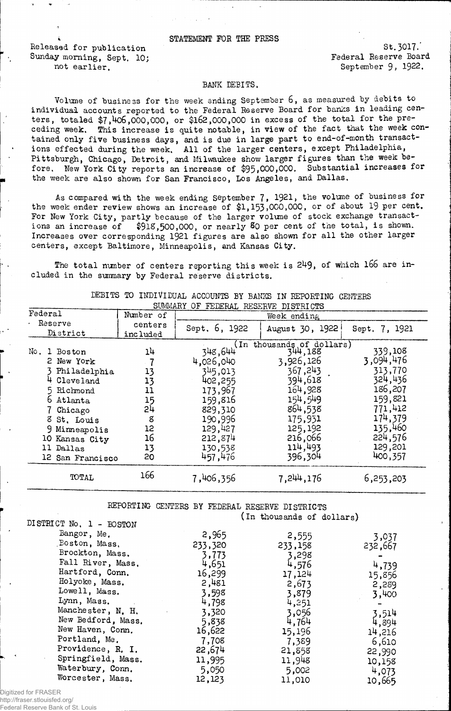## STATEMENT FOR THE PRESS

Released for publication Sunday morning, Sept. 10; The Sunday morning, Sept. 10; Federal Reserve Board not earlier.

St. 3017. September 9, 1922.

## BANK DEBITS.

Volume of business for the week ending September 6, as measured by debits to individual accounts reported to the Federal Reserve Board for banks in leading centers, totaled \$7,406,000,000, or \$162,000,000 in excess of the total for the preceding week. This increase is quite notable, in view of the fact that the week contained only five business days, and is due in large part to end-of-month transactions effected during the week. All of the larger centers, except Philadelphia, Pittsburgh, Chicago, Detroit, and Milwaukee show larger figures than the week before. New York City reports an increase of \$95,000,000. Substantial increases for the week are also shown for San Francisco, Los Angeles, and Dallas.

As compared with the week ending September 7, 1921, the volume of business for the week ender review shows an increase of \$1,153,000,000, or of about 19 per cent. For New York City, partly because of the larger volume of stock exchange transactions an increase of \$918,500,000, or nearly 8o per cent of the total, is shown. Increases over corresponding 1921 figures are also shown for all the other larger centers, except Baltimore, Minneapolis, and Kansas City.

The total number of centers reporting this week is 249, of which 166 are included in the summary by Federal reserve districts.

| SUMMARY<br>OF FEDERAL RESERVE DISTRICTS |                                                                                                                                                              |                                                         |                                                                                                                         |                                                                                                                                                      |                                                                                                                         |  |
|-----------------------------------------|--------------------------------------------------------------------------------------------------------------------------------------------------------------|---------------------------------------------------------|-------------------------------------------------------------------------------------------------------------------------|------------------------------------------------------------------------------------------------------------------------------------------------------|-------------------------------------------------------------------------------------------------------------------------|--|
| Federal                                 |                                                                                                                                                              | Number of                                               | Week ending                                                                                                             |                                                                                                                                                      |                                                                                                                         |  |
| Reserve<br>District                     |                                                                                                                                                              | centers<br>included                                     | Sept. 6, 1922                                                                                                           | August 30, 1922                                                                                                                                      | Sept. 7, 1921                                                                                                           |  |
|                                         | No. 1 Boston<br>2 New York<br>Philadelphia<br>Cleveland<br>5 Richmond<br>6 Atlanta<br>Chicago<br>8 St. Louis<br>9 Mirmeapolis<br>10 Kansas City<br>11 Dallas | 14<br>13<br>13<br>11<br>15<br>24<br>8<br>12<br>16<br>13 | 348,644<br>4,026,040<br>345,013<br>402,255<br>173,967<br>159,816<br>829,310<br>190,996<br>129,427<br>212,874<br>130,538 | (In thousands of dollars)<br>344,188<br>3,926,126<br>367,243<br>394,618<br>164,928<br>154,549<br>864,538<br>175,931<br>125,192<br>216,066<br>114,493 | 339,108<br>3,094,476<br>313,770<br>324,436<br>186,207<br>159,821<br>771,412<br>174,379<br>135,460<br>224,576<br>129,201 |  |
|                                         | 12 San Francisco                                                                                                                                             | 20                                                      | 457,476                                                                                                                 | 396,304                                                                                                                                              | 400,357                                                                                                                 |  |
|                                         | TOTAL                                                                                                                                                        | 166                                                     | 7,406,356                                                                                                               | 7.244,176                                                                                                                                            | 6,253,203                                                                                                               |  |

DEBITS TO INDIVIDUAL ACCOUNTS BY BANKS IN REPORTING CENTERS

REPORTING CENTERS BY FEDERAL RESERVE DISTRICTS (in thousands of dollars)

| DISTRICT No. 1 - BOSTON |         |         |         |
|-------------------------|---------|---------|---------|
| Bangor, Me.             | 2,965   | 2,555   | 3,037   |
| Boston, Mass,           | 233,320 | 233,158 | 232,667 |
| Brockton, Mass.         | 3,773   | 3,298   |         |
| Fall River, Mass.       | 4,651   | 4,576   | 4,739   |
| Hartford, Conn.         | 16,299  | 17,124  | 15,856  |
| Holyoke, Mass.          | 2,481   | 2,673   | 2,289   |
| Lowell, Mass.           | 3,598   | 3,879   | 3,400   |
| Lynn, Mass.             | 4,798   | 4,251   |         |
| Manchester, N. H.       | 3,320   | 3,056   | 3,514   |
| New Bedford, Mass.      | 5,838   | 4,764   | 4,894   |
| New Haven, Conn.        | 16,622  | 15,196  | 14,216  |
| Portland, Me.           | 7,708   | 7,389   | 6,610   |
| Providence, R. I.       | 22,674  | 21,858  | 22,990  |
| Springfield, Mass.      | 11,995  | 11,948  | 10,158  |
| Waterbury, Conn.        | 5,050   | 5,002   | 4,073   |
| Worcester, Mass.        | 12,123  | 11,010  | 10,665  |
|                         |         |         |         |

Digitized for FRASER

http://fraser.stlouisfed.org/ Federal Reserve Bank of St. Louis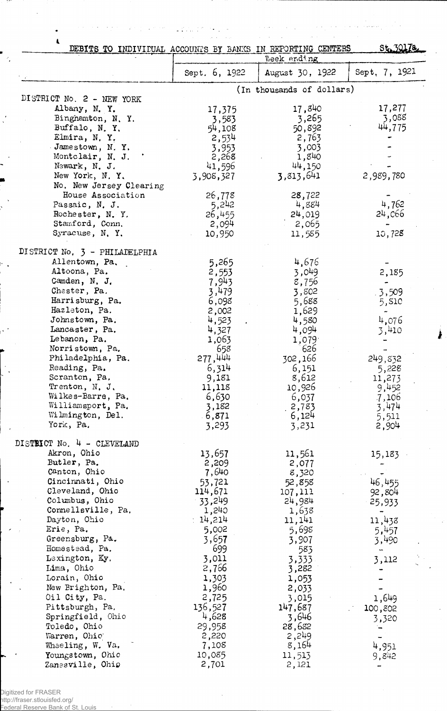| DEBITS TO INDIVIDUAL ACCOUNTS BY BANKS IN REPORTING CENTERS |                | Week ending               | St.3017a.      |
|-------------------------------------------------------------|----------------|---------------------------|----------------|
|                                                             | Sept. 6, 1922  | August 30, 1922           | Sept, 7, 1921  |
| DISTRICT No. 2 - NEW YORK                                   |                | (In thousands of dollars) |                |
| Albany, N. Y.                                               | 17,375         | 17,840                    | 17,277         |
| Binghamton, N.Y.                                            | 3,583          | 3,265                     | 3,088          |
| Buffalo, N.Y.                                               | 54,108         | 50,892                    | 44,775         |
| Elmira, N.Y.                                                | 2,534          | 2,763                     |                |
| Jamestown, N.Y.                                             | 3,953          | 3,003                     |                |
| Montclair, N. J.                                            | 2,268          | 1,840                     |                |
| Newark, N. J.                                               | 41,596         | 44,150                    |                |
| New York, N.Y.                                              | 3,908,327      | 3,813,641                 | 2,989,780      |
| No. New Jersey Clearing                                     |                |                           |                |
| House Association                                           | 26,778         | 28,722                    |                |
| Passaic, N. J.                                              | 5,242          | 4,884                     | 4,762          |
| Rochester, N.Y.                                             | 26,455         | 24,019                    | 24,066         |
| Stamford, Conn.                                             | 2,094          | 2,065                     |                |
| Syracuse, N.Y.                                              | 10,950         | 11,585                    | 10,728         |
|                                                             |                |                           |                |
| DISTRICT No. 3 - PHILADELPHIA                               |                |                           |                |
| Allentown, Pa.                                              | 5,265          | 4,676                     |                |
| Altoona, Pa.                                                | 2,553          | 3,049                     | 2,185          |
| Camden, N. J.                                               | 7,943          | 8,756                     |                |
| Chester, Pa.                                                | 3,479          | 3,802                     | .3,509         |
| Harrisburg, Pa.                                             | 6,098          | 5,688                     | 5, S10         |
| Hazleton, Pa.                                               | 2,002          | 1,629                     |                |
| Johnstown, Pa.                                              | 4,523          | 4,580                     | 4,076          |
| Lancaster, Pa.                                              | 4,327          | 4,094                     | 3,410          |
| Lebanon, Pa.                                                | 1,063          | 1,079                     |                |
| Norristown, Pa.                                             | 658            | 626                       |                |
| Philadelphia, Pa.                                           | 277,444        | 302,166                   | 249,832        |
| Reading, Pa.                                                | 6,314          | 6,151                     | 5,228          |
| Scranton, Pa.                                               | 9,181          | 8,612                     | 11,273         |
| Trenton, N. J.                                              | 11,118         | 10,926                    | 9,452          |
| Wilkes-Barre, Pa.                                           | 6,630          | 6,037                     | 7,106          |
| Williamsport, Pa.                                           | 3,182          | 2,783                     | 3,474          |
| Wilmington, Del.<br>York, Pa.                               | 6,871<br>3,293 | 6,124<br>3,231            | 5,511<br>2,904 |
|                                                             |                |                           |                |
| DISTRICT No. 4 - CLEVELAND<br>Akron, Ohio                   | 13,657         |                           |                |
| Butler, Pa.                                                 | 2,209          | 11,561<br>2,077           | 15,183         |
| Canton, Ohio                                                | 7,640          | 8,320                     |                |
| Cincinnati, Ohio                                            | 53,721         | 52,858                    | 46,455         |
| Cleveland, Ohio                                             | 114,671        | 107,111                   | 92,804         |
| Columbus, Ohio                                              | 33,249         | 24,984                    | 25,933         |
| Connellsville, Pa.                                          | 1,240          | 1,638                     |                |
| Dayton, Ohio                                                | 14,214         | 11,141                    | 11,438         |
| Erie, Pa.                                                   | 5,002          | 5,698                     | 5,457          |
| Greensburg, Pa.                                             | 3,657          | 3,907                     | 3,490          |
| Homestead, Pa.                                              | 699            | 583                       |                |
| Lexington, Ky.                                              | 3,011          | 3,333                     | 3,112          |
| Lima, Ohio                                                  | 2,766          | 3,282                     |                |
| Lorain, Ohio                                                | 1,303          | 1,053                     |                |
| New Brighton, Pa.                                           | 1,960          | 2,033                     |                |
| Oil City, Pa.                                               | 2,725          | 3,015                     | 1,649          |
| Pittsburgh, Pa.                                             | 136,527        | 147,687                   | 100,802        |
| Springfield, Ohio                                           | 4,628          | 3,646                     |                |
| Toledo, Ohio                                                | 29,958         | 28,682                    | 3,320          |
| Warren, Ohio                                                | 2,220          | 2,249                     |                |
| Wheeling, W. Va.                                            | 7,108          | 8,164                     | 4,951          |
| Youngstown, Ohio                                            | 10,085         | 11,513                    | 9,842          |
| Zanesville, Ohio                                            | 2,701          | 2,121                     |                |
|                                                             |                |                           |                |

Digitized for FRASER http://fraser.stlouisfed.org/

 $\mathcal{A}_i$ 

Federal Reserve Bank of St. Louis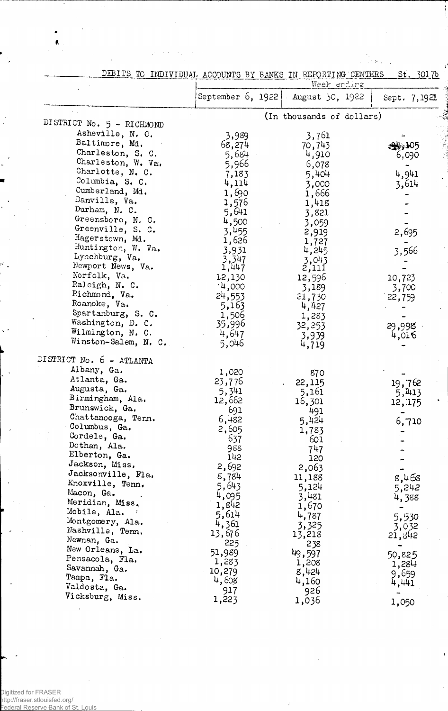|                           | DEBITS TO INDIVIDUAL ACCOUNTS BY BANKS IN REPORTING CENTERS<br>St. 3017b<br><u>Week endirg</u> |                                     |              |
|---------------------------|------------------------------------------------------------------------------------------------|-------------------------------------|--------------|
|                           |                                                                                                | September 6, 1922   August 30, 1922 | Sept. 7,1921 |
|                           |                                                                                                | (In thousands of dollars)           |              |
| DISTRICT No. 5 - RICHMOND |                                                                                                |                                     |              |
| Asheville, N. C.          | 3,989                                                                                          | 3,761                               |              |
| Baltimore, Md.            | 68,274                                                                                         | 70,743                              |              |
| Charleston, S. C.         | 5,684                                                                                          | 4,910                               | 6,090        |
| Charleston, W. Va.        | 5,966                                                                                          | 6,078                               |              |
| Charlotte, N. C.          | 7,183                                                                                          | 5,404                               | 4,941        |
| Columbia, S. C.           | 4,114                                                                                          | 3,000                               | 3,614        |
| Cumberland, Md.           | 1,690                                                                                          | 1,666                               |              |
| Danville, Va.             | 1,576                                                                                          | 1,418                               |              |
| Durham, N. C.             | 5,641                                                                                          | 3,821                               |              |
| Greensboro, N. C.         | 4,500                                                                                          | 3,059                               |              |
| Greenville, S. C.         | 3,455                                                                                          | 2,919                               | 2,695        |
| Hagerstown, Md.           | 1,626                                                                                          | 1,727                               |              |
| Huntington, W. Va.        | 3,931                                                                                          | 4,245                               | 3,566        |
| Lynchburg, Va.            | 3,347                                                                                          | 3,043                               |              |
| Newport News, Va.         | 1,447                                                                                          | $\frac{5!}{1!}$                     |              |
| Norfolk, Va.              | 12,130                                                                                         | 12,596                              | 10,723       |
| Raleigh, N. C.            | 14,000                                                                                         | 3,189                               | 3,700        |
| Richmond, Va.             | 24,553                                                                                         | 21,730                              | 22,759       |
| Roanoke, Va.              | 5,163                                                                                          | 4,427                               |              |
| Spartanburg, S. C.        | 1,506                                                                                          | 1,283                               |              |
| Washington, D. C.         | 35,996                                                                                         | 32,253                              | 29,998       |
| Wilmington, N. C.         | 4,647                                                                                          | 3,939                               | 4,016        |
| Winston-Salem, N. C.      | 5,046                                                                                          | 4,719                               |              |
| DISTRICT No. 6 - ATLANTA  |                                                                                                |                                     |              |
| Albany, Ga.               | 1,020                                                                                          |                                     |              |
| Atlanta, Ga.              |                                                                                                | 870                                 |              |
| Augusta, Ga.              | 23,776                                                                                         | 22,115                              | 19,762       |
| Birmingham, Ala.          | 5,341<br>12,662                                                                                | 5,161                               | 5,413        |
| Brunswick, Ga.            | 691                                                                                            | 16,301                              | 12, 175      |
| Chattanooga, Tenn.        | 6,482                                                                                          | 491                                 |              |
| Columbus, Ga.             |                                                                                                | 5,424                               | 6,710        |
| Cordele, Ga.              | 2,605                                                                                          | 1,783                               |              |
| Dothan, Ala.              | 637<br>988                                                                                     | 601                                 |              |
| Elberton, Ga.             | 142                                                                                            | 747                                 |              |
| Jackson, Miss,            | 2,692                                                                                          | 120                                 |              |
| Jacksonville, Fla.        |                                                                                                | 2,063                               |              |
| Knoxville, Tenn.          | 8,784                                                                                          | 11,188                              | 8,468        |
| Macon, Ga.                | 5,643                                                                                          | 5,124                               | 5,242        |
| Meridian, Miss.           | 4,095                                                                                          | 3,481                               | 4,388        |
| Mobile, Ala.              | 1,842                                                                                          | 1,670                               |              |
| Montgomery, Ala.          | 5,614                                                                                          | 4,787                               | 5,530        |
| Nashville, Tenn.          | 4,361                                                                                          | 3,325                               | 3,032        |
| Newnan, Ga.               | 13,676                                                                                         | 13,218                              | 21,842       |
| New Orleans, La.          | 225                                                                                            | 238                                 |              |
| Pensacola, Fla.           | 51,989                                                                                         | 49,597                              | 50,825       |
| Savannah, Ga.             | 1,283                                                                                          | 1,208                               | 1,284        |
| Tampa, Fla.               | 10,279                                                                                         | 8,424                               | 9,659        |
| Valdosta, Ga.             | 4,608                                                                                          | 4,160                               | 4,441        |
| Vicksburg, Miss.          | 917                                                                                            | 926                                 |              |
|                           | 1,223                                                                                          | 1,036                               | 1,050        |

 $\boldsymbol{\cdot}$ 

T i

 $\mathcal{S}$ 

 $\frac{1}{2}$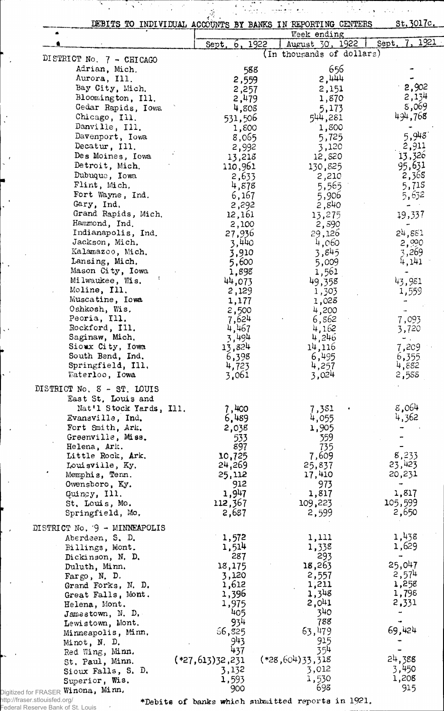|                                      |                     | DEBITS TO INDIVIDUAL ACCOUNTS BY BANKS IN REPORTING CENTERS |       | St. 3017c.     |
|--------------------------------------|---------------------|-------------------------------------------------------------|-------|----------------|
|                                      |                     | Week ending                                                 |       |                |
|                                      | 6, 1922<br>Sept.    | August 30, 1922                                             | Sept. | 1921           |
| DISTRICT No. 7 - CHICAGO             |                     | (In thousands of dollars)                                   |       |                |
| Adrian, Mich.                        | 588                 |                                                             | 656   |                |
| Aurora, Ill.                         | 2,559               | $5'$ thtt                                                   |       |                |
| Bay City, Mich.                      | 2,257               | 2,151                                                       |       | 2,902          |
| Bloomington, Ill.                    | 2,479               | 1,870                                                       |       | 2,134          |
| Cedar Rapids, Iowa                   | 4,808               | 5,173                                                       |       | 8,069          |
| Chicago, Ill.                        | 531,506             | 544,281                                                     |       | 494,768        |
| Danville, Ill.                       | 1,800               | 1,800                                                       |       |                |
| Davenport, Iowa                      | 8,065               | 5,725                                                       |       | 5,948          |
| Decatur, Ill.                        | 2,992               | 3,120                                                       |       | 2,911          |
| Des Moines, Iowa                     | 13,218              | 12,820                                                      |       | 13,326         |
| Detroit, Mich.                       | 110,961             | 130,825                                                     |       | 95,631         |
| Dubuque, Iowa                        | 2,633               | 2,210                                                       |       | 2,368          |
| Flint, Mich.                         | 4,878               | 5,565                                                       |       | 5,715          |
| Fort Wayne, Ind.                     | 6,167               | 5,906                                                       |       | 5,632          |
| Gary, Ind.                           | 2,292               | 2,840                                                       |       |                |
| Grand Rapids, Mich.                  | 12,161              | 13,275                                                      |       | 19,337         |
| Hammond, Ind.                        | 2,100               | 2,590                                                       |       |                |
| Indianapolis, Ind.                   | 27,936              | 29,126                                                      |       | 24,881         |
| Jackson, Mich.                       | 3,440               | 4,060                                                       |       | 2,990          |
| Kalamazoo, Mich.                     | 3,910               | 3,845                                                       |       | 3,269          |
| Lansing, Mich.                       | 5,600               | 5,009                                                       |       | 4,141          |
| Mason City, Iowa                     | 1,898               | 1,561                                                       |       |                |
| Milwaukee, Wis.                      | 44,073              | 49,358                                                      |       | 43,981         |
| Moline, Ill.                         | 2,129               | 1,303                                                       |       | 1,559          |
| Muscatine, Iowa                      | 1,177               | 1,028                                                       |       |                |
| Oshkosh, Wis.                        | 2,500               | 4,200                                                       |       |                |
| Peoria, Ill.                         | 7,624               | 6,862                                                       |       | 7,093          |
| Rockford, Ill.                       | 4,467               | 4,162                                                       |       | 3,720          |
| Saginaw, Mich.                       | 3,494               | 4,246                                                       |       |                |
| Sioux City, Iowa                     | 13,824              | 14,116                                                      |       | 7,209          |
| South Bend, Ind.                     | 6,398               | 6,495                                                       |       | 6,355          |
| Springfield, Ill.                    | 4,723               | 4,257                                                       |       | 4,882          |
| Waterloo, Iowa                       | 3,061               | 3,024                                                       |       | 2,588          |
| DISTRICT No. 8 - ST. LOUIS           |                     |                                                             |       |                |
| East St. Louis and                   |                     |                                                             |       |                |
| Nat'l Stock Yards, Ill.              | 7,400               | 7,381                                                       |       | 8,064          |
| Evansville, Ind.                     | 6,489               | 4,055                                                       |       | 4,362          |
| Fort Smith, Ark.                     | 2,038               | 1,905                                                       |       |                |
| Greenville, Miss.                    | 533                 | 359                                                         |       |                |
| Helena, Ark.                         | 897                 | 735                                                         |       |                |
|                                      | 10,725              |                                                             |       |                |
|                                      |                     |                                                             |       |                |
| Little Rock, Ark.                    |                     | 7,609                                                       |       | 8,233          |
| Louisville, Ky.                      | 24,269              | 25,837                                                      |       | 23,423         |
| Memphis, Tenn.                       | 25,112              | 17,410                                                      |       | 20,231         |
| Owensboro, Ky.                       | 912                 | 973                                                         |       |                |
| Quincy, Ill.                         | 1,947               | 1,817                                                       |       | 1,817          |
| St. Louis, Mo.                       | 112,367             | 109,223                                                     |       | 105,599        |
| Springfield, Mo.                     | 2,687               | 2,599                                                       |       | 2,650          |
| DISTRICT No. $9 -$ MINNEAPOLIS       |                     |                                                             |       |                |
| Aberdeen, S. D.                      | 1,572               | 1,111                                                       |       | 1,438          |
| Billings, Mont.                      | 1,514               | 1,338                                                       |       | 1,629          |
| Dickinson, N. D.                     | 287                 | 293                                                         |       |                |
| Duluth, Minn.                        | 18,175              | 18,263                                                      |       | 25,047         |
| Fargo, N. D.                         | 3,120               | 2,557                                                       |       | 2,574          |
| Grand Forks, N. D.                   | 1,612               | 1,211                                                       |       | 1,258          |
| Great Falls, Mont.                   | 1,396               | 1,348                                                       |       | 1,798          |
| Helena, Mont.                        | 1,975               | 2,041                                                       |       | 2,331          |
| Jamestown, N. D.                     | 405                 | 340                                                         |       |                |
| Lewistown, Mont.                     | 934                 | 788                                                         |       |                |
| Minneapolis, Minn.                   | 66,825              | 63,479                                                      |       | 69,424         |
|                                      | 943                 | 915                                                         |       |                |
| Minot, N. D.<br>Red Wing, Minn.      | 437                 | 354                                                         |       |                |
| St. Paul, Minn.                      | $(*27, 613)32, 231$ | $(*28,604)33,318$                                           |       | 24,388         |
| Sioux Falls, S. D.<br>Superior, Wis. | 3,132<br>1,593      | 3,012<br>1,530                                              |       | 3,450<br>1,208 |

http://fraser.stlouisfed.org/ Federal Reserve Bank of St. Louis

 $\hat{\boldsymbol{\beta}}$ 

♦Debite of banks which submitted reports in 1921,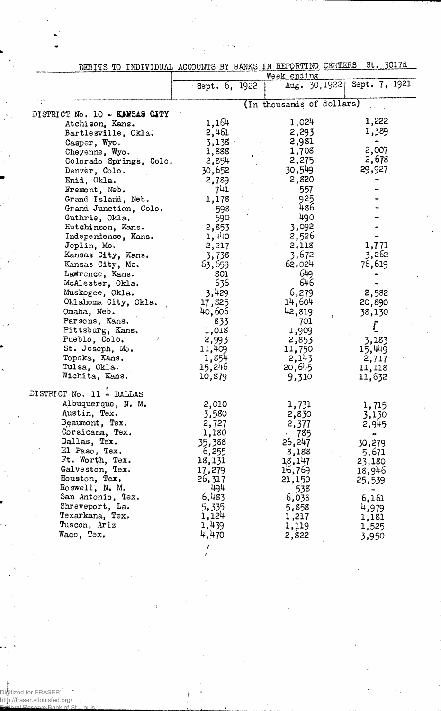|                               | DEBITS TO INDIVIDUAL ACCOUNTS BI BANAS IN REPORTING CENTERS |                               |               |
|-------------------------------|-------------------------------------------------------------|-------------------------------|---------------|
|                               | Sept. 6, 1922                                               | Week ending<br>Aug. $30,1922$ | Sept. 7, 1921 |
|                               |                                                             | (In thousands of dollars)     |               |
| DISTRICT No. 10 - KANSAS CITY |                                                             |                               |               |
| Atchison, Kans.               | 1,164                                                       | 1,024                         | 1,222         |
| Bartlesville, Okla.           | 2,461                                                       | 2,293                         | 1,389         |
| Casper, Wyo.                  | 3,138                                                       | 2,981                         |               |
| Cheyenne, Wyo.                | 1,888                                                       | 1,708                         | 2,007         |
| Colorado Springs, Colo.       | 2,854                                                       | 2,275                         | 2,678         |
| Denver, Colo.                 | 30,652                                                      | 30,549                        | 29,927        |
| Enid, Okla.                   | 2,789                                                       | 2,820                         |               |
| Fremont, Neb.                 | 741                                                         | 557                           |               |
| Grand Island, Neb.            | 1,178                                                       | 925                           |               |
| Grand Junction, Colo.         | -598                                                        | 486                           |               |
| Guthrie, Okla.                | 590                                                         | 490                           |               |
| Hutchinson, Kans.             | 2,853                                                       | 3,092                         |               |
| Independence, Kans.           | 1,440                                                       | 2,526                         |               |
| Joplin, Mo.                   | 2,217                                                       | 2,118                         | 1,771         |
| Kansas City, Kans.            | 3,738                                                       | 3,672                         | 3,262         |
| Kansas City, Mo.              | 63,659                                                      | 62,024                        | 76,619        |
| Lawrence, Kans.               | 801                                                         | 649                           |               |
| McAlester, Okla.              | 636                                                         | 646                           |               |
| Muskogee, Okla.               | 3,429                                                       | 6,279                         | 2,582         |
| Oklahoma City, Okla.          | 17,825                                                      | 14,604                        | 20,890        |
| Omaha, Neb.                   | 40,606                                                      | 42,819                        | 38,130        |
| Parsons, Kans.                | 833                                                         | 701                           |               |
| Pittsburg, Kans.              | 1,018                                                       | 1,909                         | <u>[</u>      |
| Pueblo, Colo.                 | 2,993                                                       | 2,853                         | 3,183         |
| St. Joseph, Mo.               | 11,409                                                      | 11,750                        | 15,449        |
| Topeka, Kans.                 | 1,854                                                       | 2,143                         | 2,717         |
| Tulsa, Okla.                  | 15,246                                                      | 20,645                        | 11,118        |
| Wichita, Kans.                | 10,879                                                      | 9,310                         | 11,632        |
| DISTRICT No. 11 - DALLAS      |                                                             |                               |               |
| Albuquerque, N. M.            | 2,010                                                       | 1,731                         | 1,715         |
| Austin, Tex.                  | 3,580                                                       | 2,830                         | 3,130         |
| Beaumont, Tex.                | 2,727                                                       | 2,377                         | 2,945         |
| Corsicana, Tex.               | 1,180                                                       | 785                           |               |
| Dallas, Tex.                  | 35,388                                                      | 26,247                        | 30,279        |
| El Paso, Tex.                 | 6,255                                                       | 8,188                         | 5,671         |
| Ft. Worth, Tex.               | 18,131                                                      | 18,147                        | 23,180        |
| Galveston, Tex.               | 17,279                                                      | 16,769                        | 18,946        |
| Houston, Tex,                 | 26,317                                                      | 21,150                        | 25,539        |
| Roswell, N. M.                | 494                                                         | 538                           |               |
| San Antonio, Tex.             | 6,483                                                       | 6,038                         | 6,161         |
| Shreveport, La.               | 5,335                                                       | 5,858                         | 4,979         |
| Texarkana, Tex.               | 1,124                                                       | 1,217                         | 1,181         |
| Tuscon, Ariz                  | 1,439                                                       | 1,119                         | 1,525         |
| Waco, Tex.                    | 4,470                                                       | 2,822                         | 3,950         |
|                               |                                                             |                               |               |

DEBITS TO INDIVIDUAL ACCOUNTS BY BANKS IN REPORTING CENTERS St. 30174

 $\sim$   $\sim$ 

Digitized for FRASER http://fraser.stlouisfed.org/

Federal Reserve Bank of St. Louis